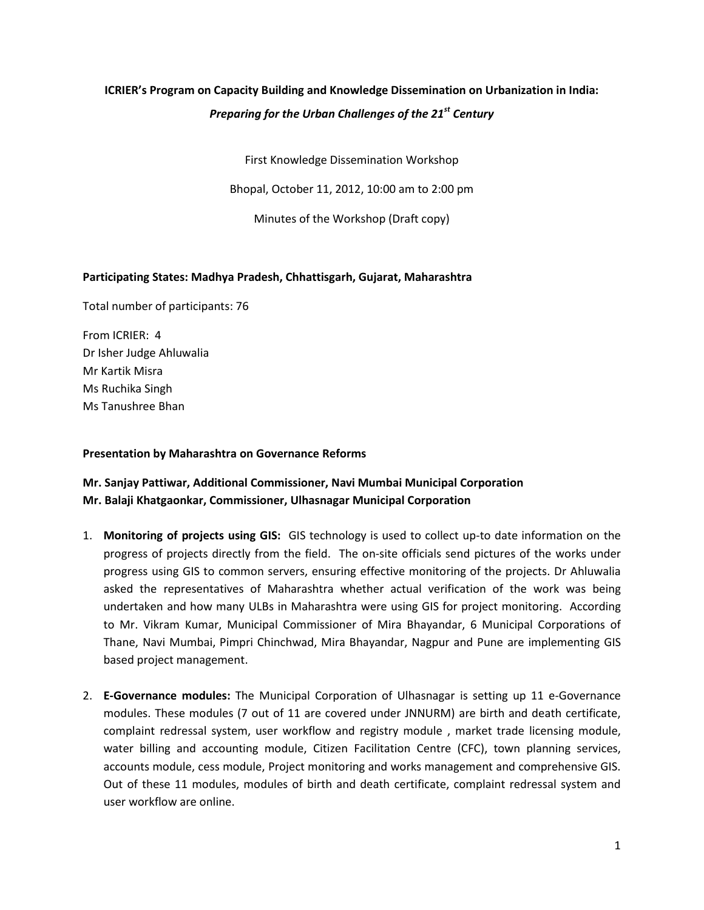# **ICRIER's Program on Capacity Building and Knowledge Dissemination on Urbanization in India:**  *Preparing for the Urban Challenges of the 21st Century*

First Knowledge Dissemination Workshop

Bhopal, October 11, 2012, 10:00 am to 2:00 pm

Minutes of the Workshop (Draft copy)

# **Participating States: Madhya Pradesh, Chhattisgarh, Gujarat, Maharashtra**

Total number of participants: 76

From ICRIER: 4 Dr Isher Judge Ahluwalia Mr Kartik Misra Ms Ruchika Singh Ms Tanushree Bhan

## **Presentation by Maharashtra on Governance Reforms**

# **Mr. Sanjay Pattiwar, Additional Commissioner, Navi Mumbai Municipal Corporation Mr. Balaji Khatgaonkar, Commissioner, Ulhasnagar Municipal Corporation**

- 1. **Monitoring of projects using GIS:** GIS technology is used to collect up-to date information on the progress of projects directly from the field. The on-site officials send pictures of the works under progress using GIS to common servers, ensuring effective monitoring of the projects. Dr Ahluwalia asked the representatives of Maharashtra whether actual verification of the work was being undertaken and how many ULBs in Maharashtra were using GIS for project monitoring. According to Mr. Vikram Kumar, Municipal Commissioner of Mira Bhayandar, 6 Municipal Corporations of Thane, Navi Mumbai, Pimpri Chinchwad, Mira Bhayandar, Nagpur and Pune are implementing GIS based project management.
- 2. **E-Governance modules:** The Municipal Corporation of Ulhasnagar is setting up 11 e-Governance modules. These modules (7 out of 11 are covered under JNNURM) are birth and death certificate, complaint redressal system, user workflow and registry module , market trade licensing module, water billing and accounting module, Citizen Facilitation Centre (CFC), town planning services, accounts module, cess module, Project monitoring and works management and comprehensive GIS. Out of these 11 modules, modules of birth and death certificate, complaint redressal system and user workflow are online.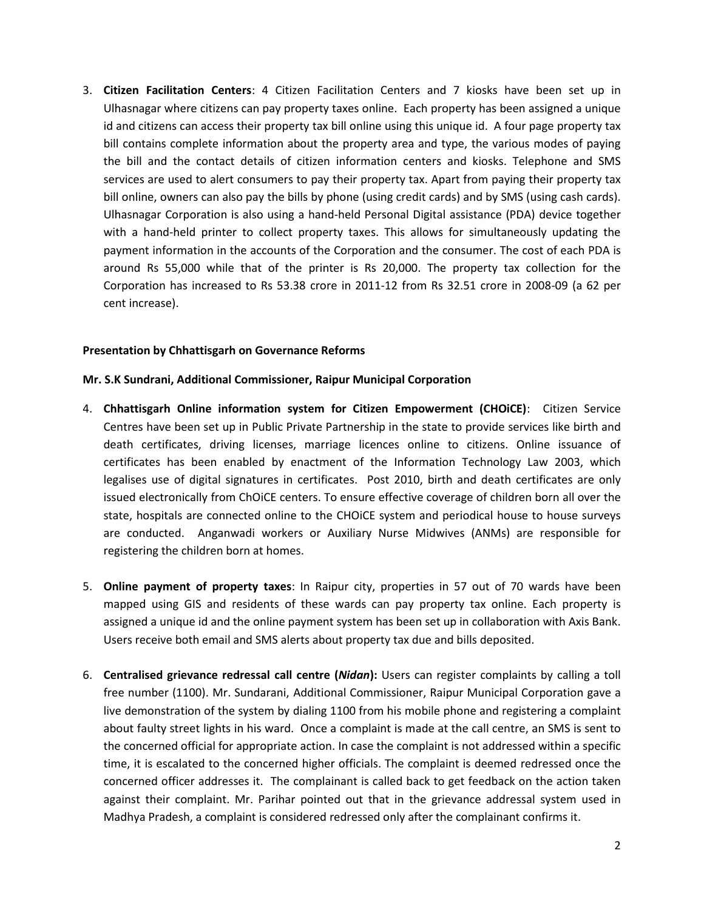3. **Citizen Facilitation Centers**: 4 Citizen Facilitation Centers and 7 kiosks have been set up in Ulhasnagar where citizens can pay property taxes online. Each property has been assigned a unique id and citizens can access their property tax bill online using this unique id. A four page property tax bill contains complete information about the property area and type, the various modes of paying the bill and the contact details of citizen information centers and kiosks. Telephone and SMS services are used to alert consumers to pay their property tax. Apart from paying their property tax bill online, owners can also pay the bills by phone (using credit cards) and by SMS (using cash cards). Ulhasnagar Corporation is also using a hand-held Personal Digital assistance (PDA) device together with a hand-held printer to collect property taxes. This allows for simultaneously updating the payment information in the accounts of the Corporation and the consumer. The cost of each PDA is around Rs 55,000 while that of the printer is Rs 20,000. The property tax collection for the Corporation has increased to Rs 53.38 crore in 2011-12 from Rs 32.51 crore in 2008-09 (a 62 per cent increase).

#### **Presentation by Chhattisgarh on Governance Reforms**

#### **Mr. S.K Sundrani, Additional Commissioner, Raipur Municipal Corporation**

- 4. **Chhattisgarh Online information system for Citizen Empowerment (CHOiCE)**: Citizen Service Centres have been set up in Public Private Partnership in the state to provide services like birth and death certificates, driving licenses, marriage licences online to citizens. Online issuance of certificates has been enabled by enactment of the Information Technology Law 2003, which legalises use of digital signatures in certificates. Post 2010, birth and death certificates are only issued electronically from ChOiCE centers. To ensure effective coverage of children born all over the state, hospitals are connected online to the CHOiCE system and periodical house to house surveys are conducted. Anganwadi workers or Auxiliary Nurse Midwives (ANMs) are responsible for registering the children born at homes.
- 5. **Online payment of property taxes**: In Raipur city, properties in 57 out of 70 wards have been mapped using GIS and residents of these wards can pay property tax online. Each property is assigned a unique id and the online payment system has been set up in collaboration with Axis Bank. Users receive both email and SMS alerts about property tax due and bills deposited.
- 6. **Centralised grievance redressal call centre (***Nidan***):** Users can register complaints by calling a toll free number (1100). Mr. Sundarani, Additional Commissioner, Raipur Municipal Corporation gave a live demonstration of the system by dialing 1100 from his mobile phone and registering a complaint about faulty street lights in his ward. Once a complaint is made at the call centre, an SMS is sent to the concerned official for appropriate action. In case the complaint is not addressed within a specific time, it is escalated to the concerned higher officials. The complaint is deemed redressed once the concerned officer addresses it. The complainant is called back to get feedback on the action taken against their complaint. Mr. Parihar pointed out that in the grievance addressal system used in Madhya Pradesh, a complaint is considered redressed only after the complainant confirms it.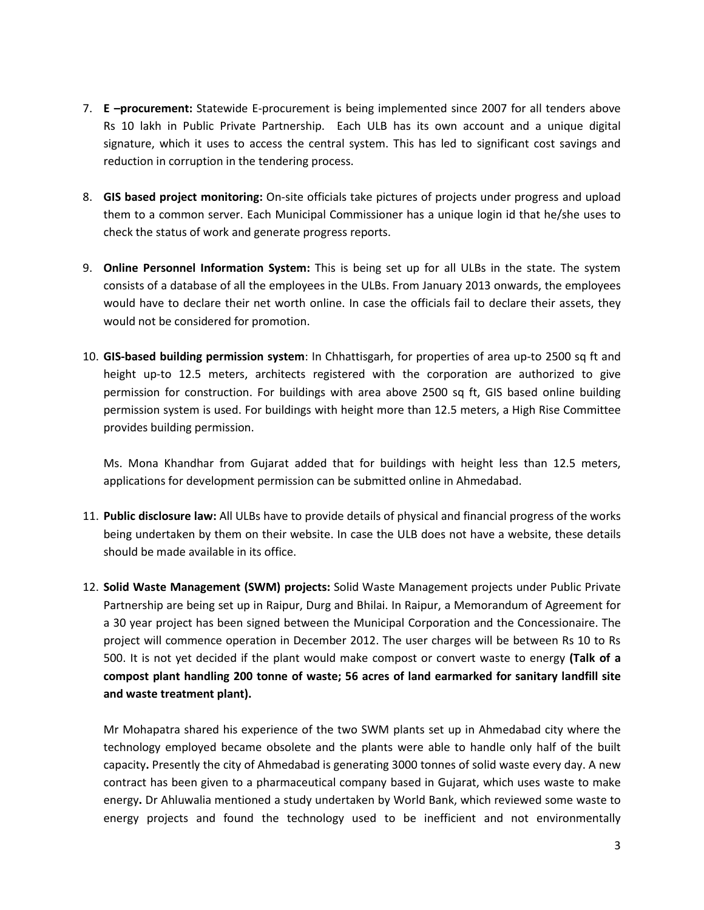- 7. **E –procurement:** Statewide E-procurement is being implemented since 2007 for all tenders above Rs 10 lakh in Public Private Partnership. Each ULB has its own account and a unique digital signature, which it uses to access the central system. This has led to significant cost savings and reduction in corruption in the tendering process.
- 8. **GIS based project monitoring:** On-site officials take pictures of projects under progress and upload them to a common server. Each Municipal Commissioner has a unique login id that he/she uses to check the status of work and generate progress reports.
- 9. **Online Personnel Information System:** This is being set up for all ULBs in the state. The system consists of a database of all the employees in the ULBs. From January 2013 onwards, the employees would have to declare their net worth online. In case the officials fail to declare their assets, they would not be considered for promotion.
- 10. **GIS-based building permission system**: In Chhattisgarh, for properties of area up-to 2500 sq ft and height up-to 12.5 meters, architects registered with the corporation are authorized to give permission for construction. For buildings with area above 2500 sq ft, GIS based online building permission system is used. For buildings with height more than 12.5 meters, a High Rise Committee provides building permission.

Ms. Mona Khandhar from Gujarat added that for buildings with height less than 12.5 meters, applications for development permission can be submitted online in Ahmedabad.

- 11. **Public disclosure law:** All ULBs have to provide details of physical and financial progress of the works being undertaken by them on their website. In case the ULB does not have a website, these details should be made available in its office.
- 12. **Solid Waste Management (SWM) projects:** Solid Waste Management projects under Public Private Partnership are being set up in Raipur, Durg and Bhilai. In Raipur, a Memorandum of Agreement for a 30 year project has been signed between the Municipal Corporation and the Concessionaire. The project will commence operation in December 2012. The user charges will be between Rs 10 to Rs 500. It is not yet decided if the plant would make compost or convert waste to energy **(Talk of a compost plant handling 200 tonne of waste; 56 acres of land earmarked for sanitary landfill site and waste treatment plant).**

Mr Mohapatra shared his experience of the two SWM plants set up in Ahmedabad city where the technology employed became obsolete and the plants were able to handle only half of the built capacity**.** Presently the city of Ahmedabad is generating 3000 tonnes of solid waste every day. A new contract has been given to a pharmaceutical company based in Gujarat, which uses waste to make energy**.** Dr Ahluwalia mentioned a study undertaken by World Bank, which reviewed some waste to energy projects and found the technology used to be inefficient and not environmentally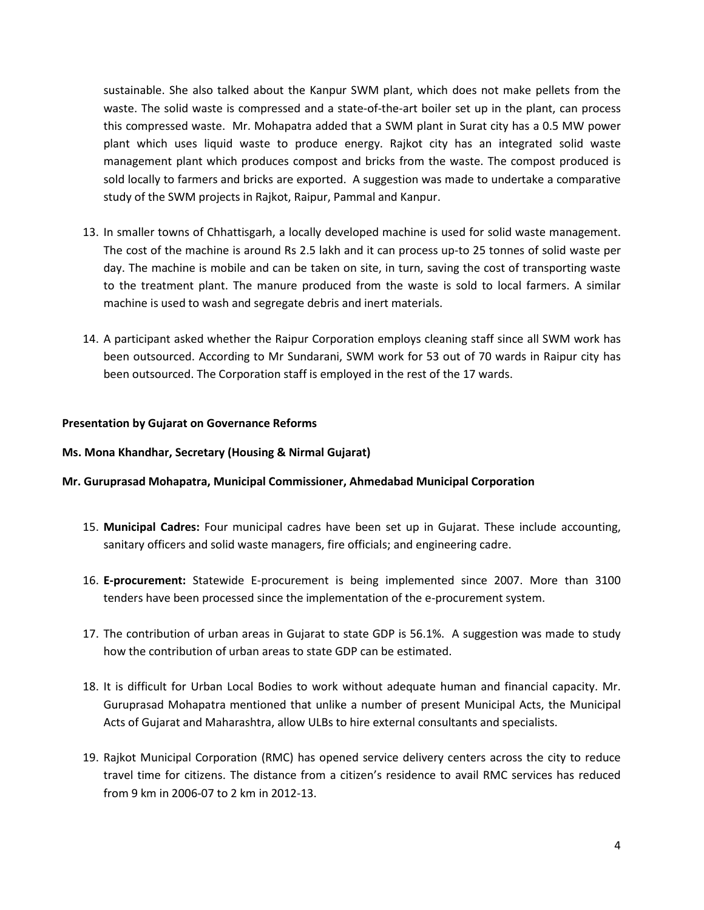sustainable. She also talked about the Kanpur SWM plant, which does not make pellets from the waste. The solid waste is compressed and a state-of-the-art boiler set up in the plant, can process this compressed waste. Mr. Mohapatra added that a SWM plant in Surat city has a 0.5 MW power plant which uses liquid waste to produce energy. Rajkot city has an integrated solid waste management plant which produces compost and bricks from the waste. The compost produced is sold locally to farmers and bricks are exported. A suggestion was made to undertake a comparative study of the SWM projects in Rajkot, Raipur, Pammal and Kanpur.

- 13. In smaller towns of Chhattisgarh, a locally developed machine is used for solid waste management. The cost of the machine is around Rs 2.5 lakh and it can process up-to 25 tonnes of solid waste per day. The machine is mobile and can be taken on site, in turn, saving the cost of transporting waste to the treatment plant. The manure produced from the waste is sold to local farmers. A similar machine is used to wash and segregate debris and inert materials.
- 14. A participant asked whether the Raipur Corporation employs cleaning staff since all SWM work has been outsourced. According to Mr Sundarani, SWM work for 53 out of 70 wards in Raipur city has been outsourced. The Corporation staff is employed in the rest of the 17 wards.

#### **Presentation by Gujarat on Governance Reforms**

#### **Ms. Mona Khandhar, Secretary (Housing & Nirmal Gujarat)**

#### **Mr. Guruprasad Mohapatra, Municipal Commissioner, Ahmedabad Municipal Corporation**

- 15. **Municipal Cadres:** Four municipal cadres have been set up in Gujarat. These include accounting, sanitary officers and solid waste managers, fire officials; and engineering cadre.
- 16. **E-procurement:** Statewide E-procurement is being implemented since 2007. More than 3100 tenders have been processed since the implementation of the e-procurement system.
- 17. The contribution of urban areas in Gujarat to state GDP is 56.1%. A suggestion was made to study how the contribution of urban areas to state GDP can be estimated.
- 18. It is difficult for Urban Local Bodies to work without adequate human and financial capacity. Mr. Guruprasad Mohapatra mentioned that unlike a number of present Municipal Acts, the Municipal Acts of Gujarat and Maharashtra, allow ULBs to hire external consultants and specialists.
- 19. Rajkot Municipal Corporation (RMC) has opened service delivery centers across the city to reduce travel time for citizens. The distance from a citizen's residence to avail RMC services has reduced from 9 km in 2006-07 to 2 km in 2012-13.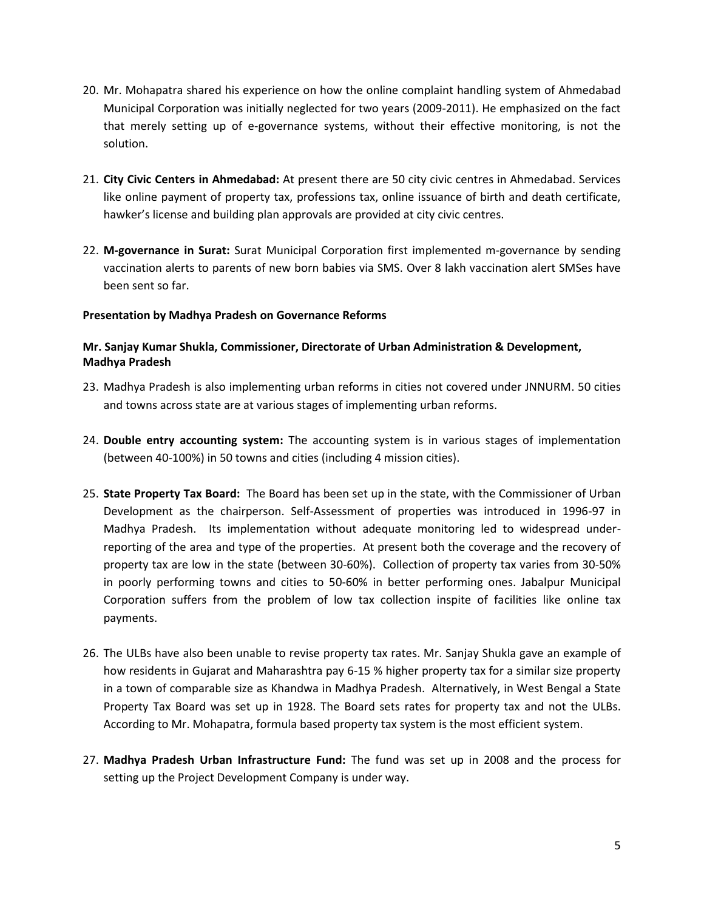- 20. Mr. Mohapatra shared his experience on how the online complaint handling system of Ahmedabad Municipal Corporation was initially neglected for two years (2009-2011). He emphasized on the fact that merely setting up of e-governance systems, without their effective monitoring, is not the solution.
- 21. **City Civic Centers in Ahmedabad:** At present there are 50 city civic centres in Ahmedabad. Services like online payment of property tax, professions tax, online issuance of birth and death certificate, hawker's license and building plan approvals are provided at city civic centres.
- 22. **M-governance in Surat:** Surat Municipal Corporation first implemented m-governance by sending vaccination alerts to parents of new born babies via SMS. Over 8 lakh vaccination alert SMSes have been sent so far.

### **Presentation by Madhya Pradesh on Governance Reforms**

## **Mr. Sanjay Kumar Shukla, Commissioner, Directorate of Urban Administration & Development, Madhya Pradesh**

- 23. Madhya Pradesh is also implementing urban reforms in cities not covered under JNNURM. 50 cities and towns across state are at various stages of implementing urban reforms.
- 24. **Double entry accounting system:** The accounting system is in various stages of implementation (between 40-100%) in 50 towns and cities (including 4 mission cities).
- 25. **State Property Tax Board:** The Board has been set up in the state, with the Commissioner of Urban Development as the chairperson. Self-Assessment of properties was introduced in 1996-97 in Madhya Pradesh. Its implementation without adequate monitoring led to widespread underreporting of the area and type of the properties. At present both the coverage and the recovery of property tax are low in the state (between 30-60%). Collection of property tax varies from 30-50% in poorly performing towns and cities to 50-60% in better performing ones. Jabalpur Municipal Corporation suffers from the problem of low tax collection inspite of facilities like online tax payments.
- 26. The ULBs have also been unable to revise property tax rates. Mr. Sanjay Shukla gave an example of how residents in Gujarat and Maharashtra pay 6-15 % higher property tax for a similar size property in a town of comparable size as Khandwa in Madhya Pradesh. Alternatively, in West Bengal a State Property Tax Board was set up in 1928. The Board sets rates for property tax and not the ULBs. According to Mr. Mohapatra, formula based property tax system is the most efficient system.
- 27. **Madhya Pradesh Urban Infrastructure Fund:** The fund was set up in 2008 and the process for setting up the Project Development Company is under way.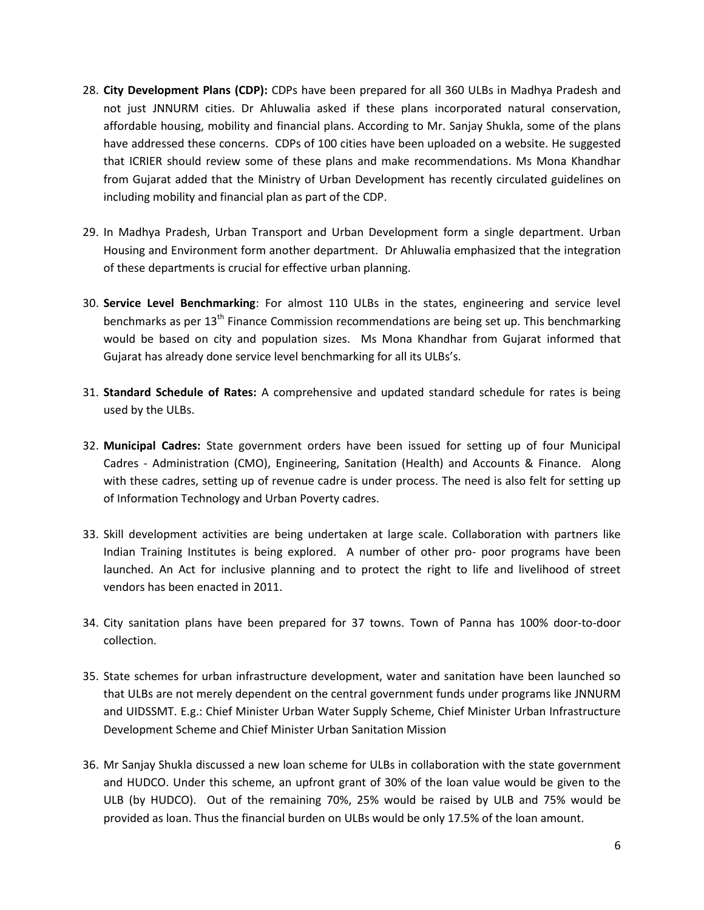- 28. **City Development Plans (CDP):** CDPs have been prepared for all 360 ULBs in Madhya Pradesh and not just JNNURM cities. Dr Ahluwalia asked if these plans incorporated natural conservation, affordable housing, mobility and financial plans. According to Mr. Sanjay Shukla, some of the plans have addressed these concerns. CDPs of 100 cities have been uploaded on a website. He suggested that ICRIER should review some of these plans and make recommendations. Ms Mona Khandhar from Gujarat added that the Ministry of Urban Development has recently circulated guidelines on including mobility and financial plan as part of the CDP.
- 29. In Madhya Pradesh, Urban Transport and Urban Development form a single department. Urban Housing and Environment form another department. Dr Ahluwalia emphasized that the integration of these departments is crucial for effective urban planning.
- 30. **Service Level Benchmarking**: For almost 110 ULBs in the states, engineering and service level benchmarks as per  $13<sup>th</sup>$  Finance Commission recommendations are being set up. This benchmarking would be based on city and population sizes. Ms Mona Khandhar from Gujarat informed that Gujarat has already done service level benchmarking for all its ULBs's.
- 31. **Standard Schedule of Rates:** A comprehensive and updated standard schedule for rates is being used by the ULBs.
- 32. **Municipal Cadres:** State government orders have been issued for setting up of four Municipal Cadres - Administration (CMO), Engineering, Sanitation (Health) and Accounts & Finance. Along with these cadres, setting up of revenue cadre is under process. The need is also felt for setting up of Information Technology and Urban Poverty cadres.
- 33. Skill development activities are being undertaken at large scale. Collaboration with partners like Indian Training Institutes is being explored. A number of other pro- poor programs have been launched. An Act for inclusive planning and to protect the right to life and livelihood of street vendors has been enacted in 2011.
- 34. City sanitation plans have been prepared for 37 towns. Town of Panna has 100% door-to-door collection.
- 35. State schemes for urban infrastructure development, water and sanitation have been launched so that ULBs are not merely dependent on the central government funds under programs like JNNURM and UIDSSMT. E.g.: Chief Minister Urban Water Supply Scheme, Chief Minister Urban Infrastructure Development Scheme and Chief Minister Urban Sanitation Mission
- 36. Mr Sanjay Shukla discussed a new loan scheme for ULBs in collaboration with the state government and HUDCO. Under this scheme, an upfront grant of 30% of the loan value would be given to the ULB (by HUDCO). Out of the remaining 70%, 25% would be raised by ULB and 75% would be provided as loan. Thus the financial burden on ULBs would be only 17.5% of the loan amount.